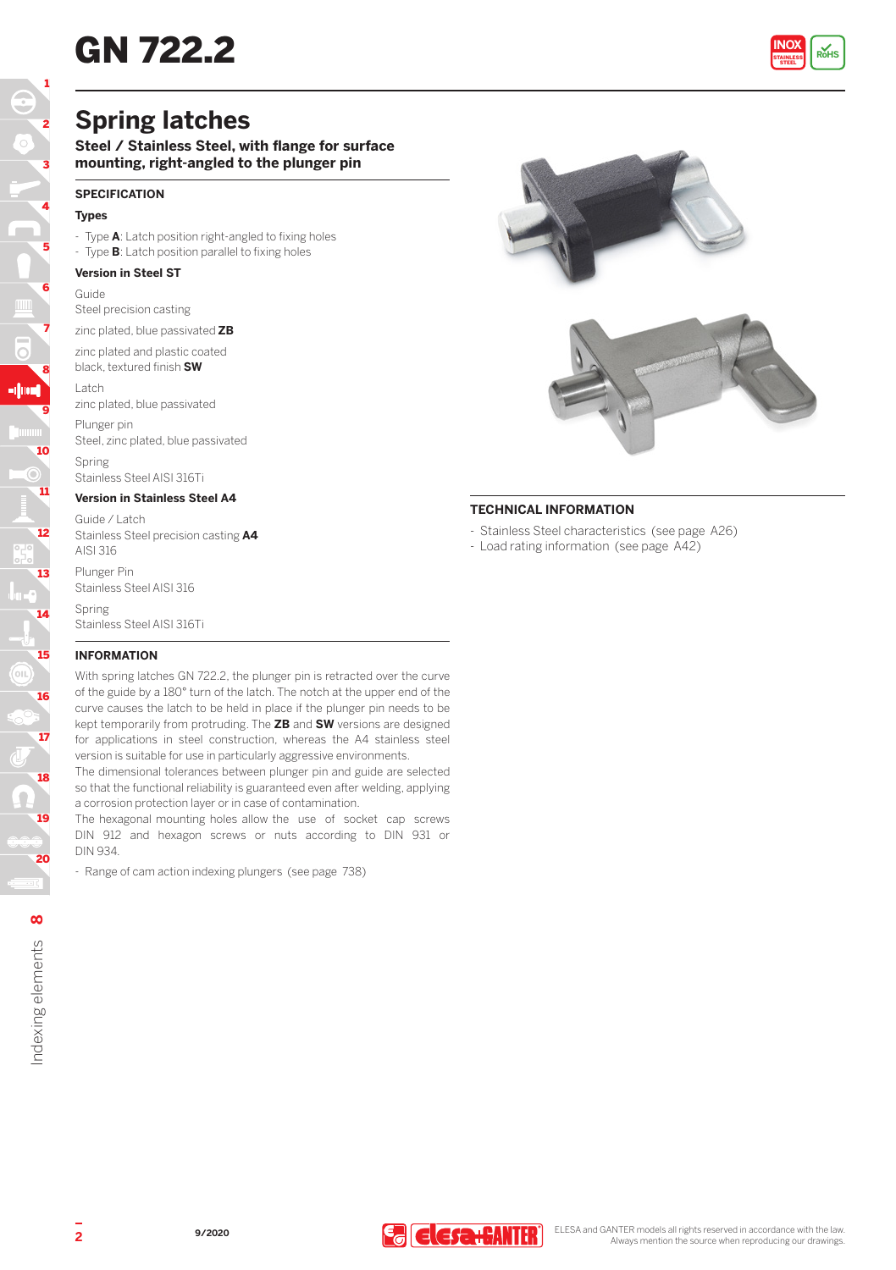# **GN 722.2**



# **Spring latches**

**Steel / Stainless Steel, with flange for surface mounting, right-angled to the plunger pin**

### **SPECIFICATION**

### **Types**

- Type **A**: Latch position right-angled to fixing holes
- Type **B**: Latch position parallel to fixing holes

#### **Version in Steel ST**

#### Guide

Steel precision casting

zinc plated, blue passivated **ZB**

zinc plated and plastic coated black, textured finish **SW**

Latch

zinc plated, blue passivated

Plunger pin Steel, zinc plated, blue passivated

Spring Stainless Steel AISI 316Ti

#### **Version in Stainless Steel A4**

Guide / Latch Stainless Steel precision casting **A4** AISI 316

Plunger Pin Stainless Steel AISI 316 Spring

Stainless Steel AISI 316Ti

#### **INFORMATION**

With spring latches GN 722.2, the plunger pin is retracted over the curve of the guide by a 180° turn of the latch. The notch at the upper end of the curve causes the latch to be held in place if the plunger pin needs to be kept temporarily from protruding. The **ZB** and **SW** versions are designed for applications in steel construction, whereas the A4 stainless steel version is suitable for use in particularly aggressive environments.

The dimensional tolerances between plunger pin and guide are selected so that the functional reliability is guaranteed even after welding, applying a corrosion protection layer or in case of contamination.

The hexagonal mounting holes allow the use of socket cap screws DIN 912 and hexagon screws or nuts according to DIN 931 or DIN 934.

- Range of cam action indexing plungers (see page 738)



## **TECHNICAL INFORMATION**

- Stainless Steel characteristics (see page A26)
- Load rating information (see page A42)

18

17

16

15

14

13

12

11

10

9

8

-104

7

6

5

4

3

2

1

19

20